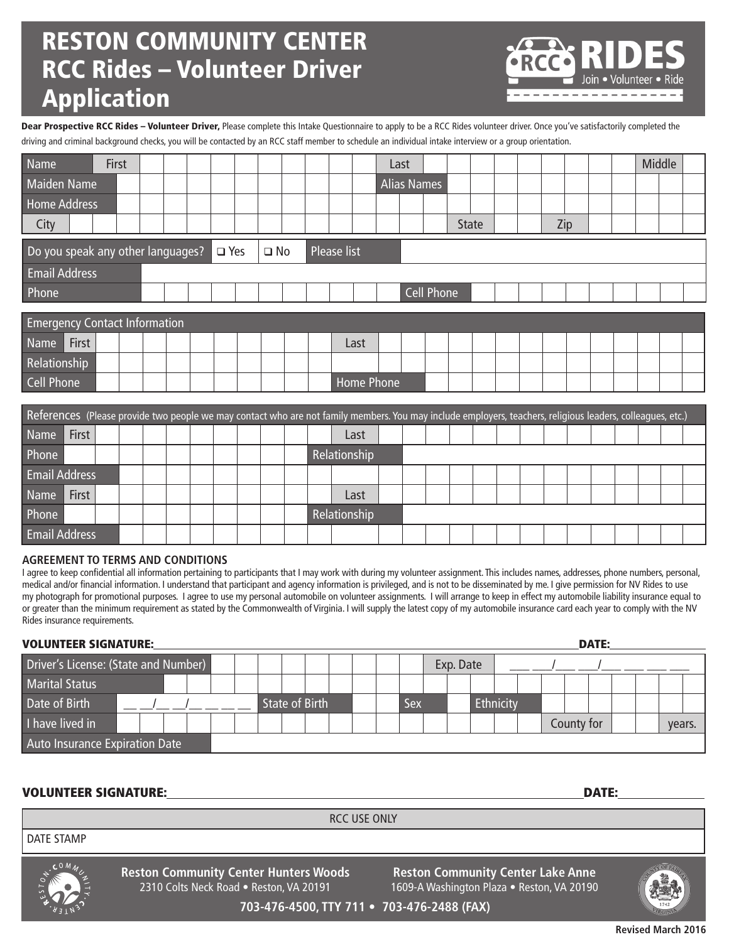# RESTON COMMUNITY CENTER RCC Rides – Volunteer Driver Application

• Volunteer •

Dear Prospective RCC Rides - Volunteer Driver, Please complete this Intake Questionnaire to apply to be a RCC Rides volunteer driver. Once you've satisfactorily completed the driving and criminal background checks, you will be contacted by an RCC staff member to schedule an individual intake interview or a group orientation.

| Name                                 |                                                                                | First |  |  |  |  |  |  |  |  |  |  |      | Last       |                    |            |              |  |     |  |  | Middle |  |
|--------------------------------------|--------------------------------------------------------------------------------|-------|--|--|--|--|--|--|--|--|--|--|------|------------|--------------------|------------|--------------|--|-----|--|--|--------|--|
| <b>Maiden Name</b>                   |                                                                                |       |  |  |  |  |  |  |  |  |  |  |      |            | <b>Alias Names</b> |            |              |  |     |  |  |        |  |
| <b>Home Address</b>                  |                                                                                |       |  |  |  |  |  |  |  |  |  |  |      |            |                    |            |              |  |     |  |  |        |  |
| City                                 |                                                                                |       |  |  |  |  |  |  |  |  |  |  |      |            |                    |            | <b>State</b> |  | Zip |  |  |        |  |
|                                      | Do you speak any other languages?<br>Please list<br>$\Box$ Yes<br>$\square$ No |       |  |  |  |  |  |  |  |  |  |  |      |            |                    |            |              |  |     |  |  |        |  |
| <b>Email Address</b>                 |                                                                                |       |  |  |  |  |  |  |  |  |  |  |      |            |                    |            |              |  |     |  |  |        |  |
| Phone                                |                                                                                |       |  |  |  |  |  |  |  |  |  |  |      |            |                    | Cell Phone |              |  |     |  |  |        |  |
|                                      |                                                                                |       |  |  |  |  |  |  |  |  |  |  |      |            |                    |            |              |  |     |  |  |        |  |
| <b>Emergency Contact Information</b> |                                                                                |       |  |  |  |  |  |  |  |  |  |  |      |            |                    |            |              |  |     |  |  |        |  |
| Name                                 | First                                                                          |       |  |  |  |  |  |  |  |  |  |  | Last |            |                    |            |              |  |     |  |  |        |  |
| Relationship                         |                                                                                |       |  |  |  |  |  |  |  |  |  |  |      |            |                    |            |              |  |     |  |  |        |  |
| <b>Cell Phone</b>                    |                                                                                |       |  |  |  |  |  |  |  |  |  |  |      | Home Phone |                    |            |              |  |     |  |  |        |  |

| References (Please provide two people we may contact who are not family members. You may include employers, teachers, religious leaders, colleagues, etc.) |              |  |  |  |  |  |  |  |  |  |              |      |  |  |  |  |  |  |  |  |  |  |  |  |  |
|------------------------------------------------------------------------------------------------------------------------------------------------------------|--------------|--|--|--|--|--|--|--|--|--|--------------|------|--|--|--|--|--|--|--|--|--|--|--|--|--|
| <b>Name</b>                                                                                                                                                | First        |  |  |  |  |  |  |  |  |  |              | Last |  |  |  |  |  |  |  |  |  |  |  |  |  |
| Phone                                                                                                                                                      |              |  |  |  |  |  |  |  |  |  | Relationship |      |  |  |  |  |  |  |  |  |  |  |  |  |  |
| <b>Email Address</b>                                                                                                                                       |              |  |  |  |  |  |  |  |  |  |              |      |  |  |  |  |  |  |  |  |  |  |  |  |  |
| <b>Name</b>                                                                                                                                                | <b>First</b> |  |  |  |  |  |  |  |  |  |              | Last |  |  |  |  |  |  |  |  |  |  |  |  |  |
| Phone                                                                                                                                                      |              |  |  |  |  |  |  |  |  |  | Relationship |      |  |  |  |  |  |  |  |  |  |  |  |  |  |
| <b>Email Address</b>                                                                                                                                       |              |  |  |  |  |  |  |  |  |  |              |      |  |  |  |  |  |  |  |  |  |  |  |  |  |

#### **AGREEMENT TO TERMS AND CONDITIONS**

I agree to keep confidential all information pertaining to participants that I may work with during my volunteer assignment. This includes names, addresses, phone numbers, personal, medical and/or financial information. I understand that participant and agency information is privileged, and is not to be disseminated by me. I give permission for NV Rides to use my photograph for promotional purposes. I agree to use my personal automobile on volunteer assignments. I will arrange to keep in effect my automobile liability insurance equal to or greater than the minimum requirement as stated by the Commonwealth of Virginia. I will supply the latest copy of my automobile insurance card each year to comply with the NV Rides insurance requirements.

#### VOLUNTEER SIGNATURE: DATE:

| Driver's License: (State and Number) |  |  |  |  |                |  |  |  | Exp. Date |  |     |  |  |           |  |            |  |        |  |  |
|--------------------------------------|--|--|--|--|----------------|--|--|--|-----------|--|-----|--|--|-----------|--|------------|--|--------|--|--|
| <b>Marital Status</b>                |  |  |  |  |                |  |  |  |           |  |     |  |  |           |  |            |  |        |  |  |
| Date of Birth                        |  |  |  |  | State of Birth |  |  |  |           |  | Sex |  |  | Ethnicity |  |            |  |        |  |  |
| I have lived in                      |  |  |  |  |                |  |  |  |           |  |     |  |  |           |  | County for |  | years. |  |  |
| Auto Insurance Expiration Date       |  |  |  |  |                |  |  |  |           |  |     |  |  |           |  |            |  |        |  |  |

#### VOLUNTEER SIGNATURE: DATE:

RCC USE ONLY

DATE STAMP



**Reston Community Center Hunters Woods** 2310 Colts Neck Road • Reston, VA 20191

**Reston Community Center Lake Anne** 1609-A Washington Plaza · Reston, VA 20190



**703-476-4500, TTY 711 • 703-476-2488 (FAX)**